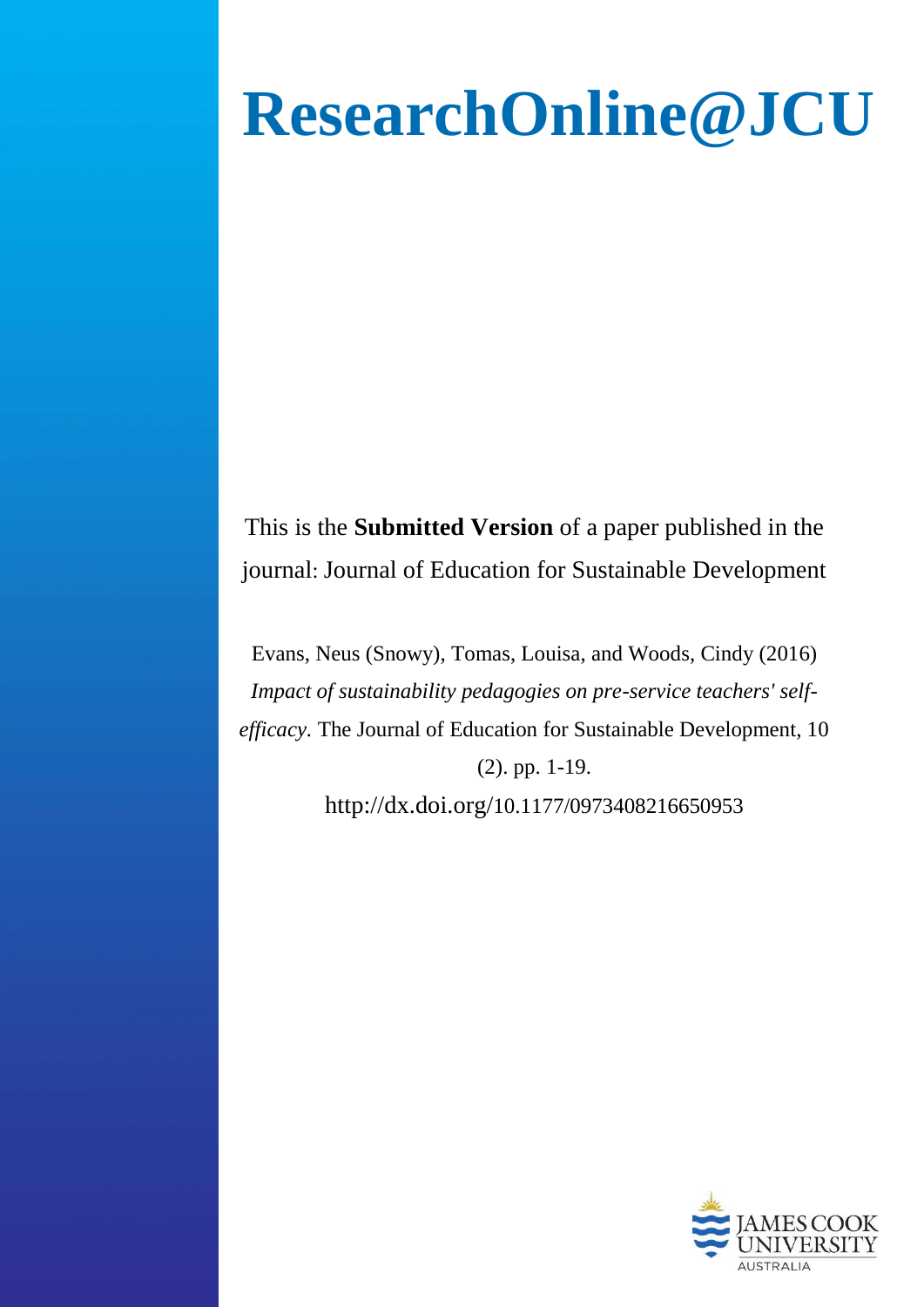# **ResearchOnline@JCU**

This is the **Submitted Version** of a paper published in the journal: Journal of Education for Sustainable Development

Evans, Neus (Snowy), Tomas, Louisa, and Woods, Cindy (2016) *Impact of sustainability pedagogies on pre-service teachers' selfefficacy.* The Journal of Education for Sustainable Development, 10 (2). pp. 1-19.

http://dx.doi.org/[10.1177/0973408216650953](http://dx.doi.org/10.1177/0973408216650953)

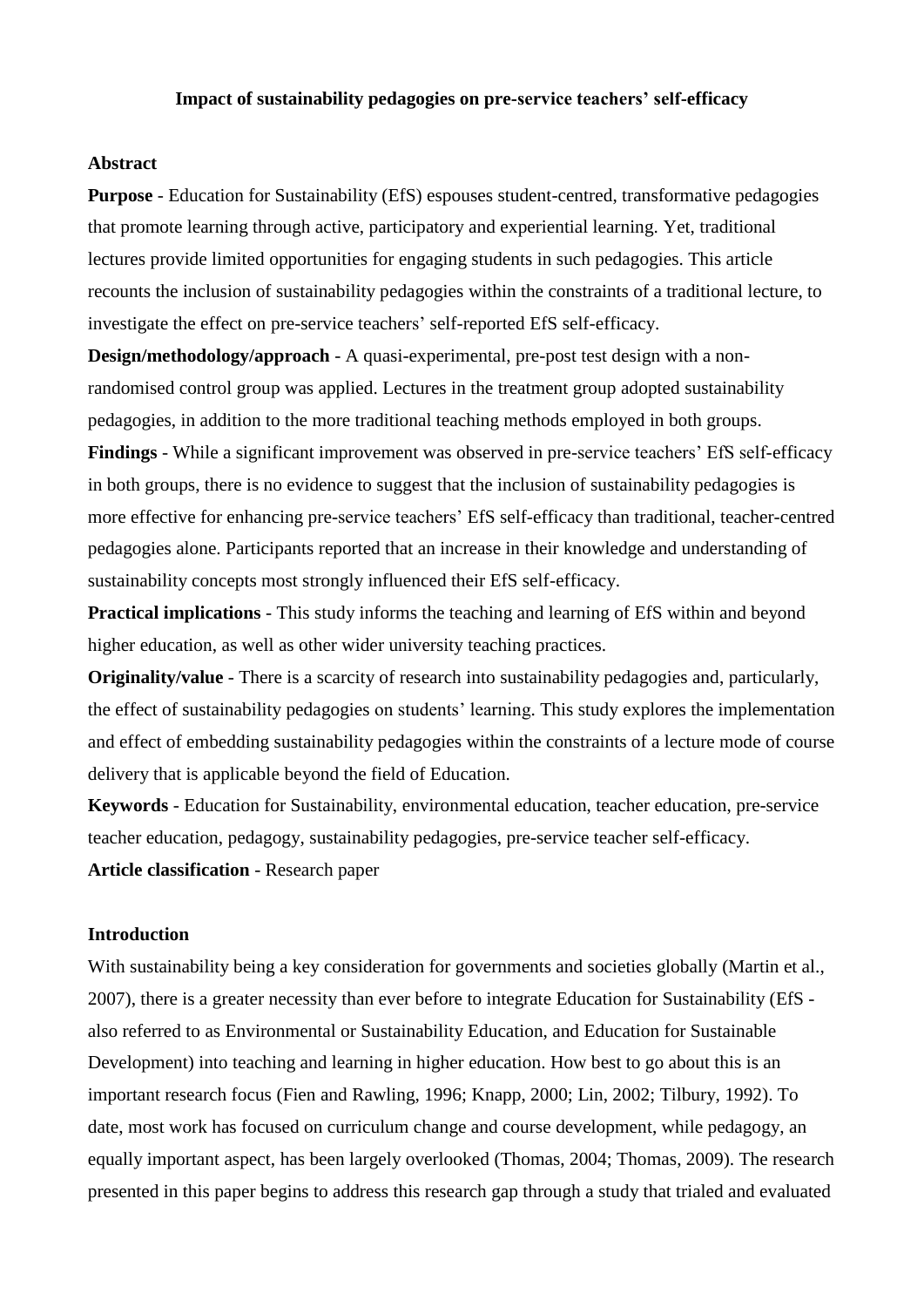# **Impact of sustainability pedagogies on pre-service teachers' self-efficacy**

## **Abstract**

**Purpose** - Education for Sustainability (EfS) espouses student-centred, transformative pedagogies that promote learning through active, participatory and experiential learning. Yet, traditional lectures provide limited opportunities for engaging students in such pedagogies. This article recounts the inclusion of sustainability pedagogies within the constraints of a traditional lecture, to investigate the effect on pre-service teachers' self-reported EfS self-efficacy.

**Design/methodology/approach** - A quasi-experimental, pre-post test design with a nonrandomised control group was applied. Lectures in the treatment group adopted sustainability pedagogies, in addition to the more traditional teaching methods employed in both groups.

**Findings** - While a significant improvement was observed in pre-service teachers' EfS self-efficacy in both groups, there is no evidence to suggest that the inclusion of sustainability pedagogies is more effective for enhancing pre-service teachers' EfS self-efficacy than traditional, teacher-centred pedagogies alone. Participants reported that an increase in their knowledge and understanding of sustainability concepts most strongly influenced their EfS self-efficacy.

**Practical implications** - This study informs the teaching and learning of EfS within and beyond higher education, as well as other wider university teaching practices.

**Originality/value** - There is a scarcity of research into sustainability pedagogies and, particularly, the effect of sustainability pedagogies on students' learning. This study explores the implementation and effect of embedding sustainability pedagogies within the constraints of a lecture mode of course delivery that is applicable beyond the field of Education.

**Keywords** - Education for Sustainability, environmental education, teacher education, pre-service teacher education, pedagogy, sustainability pedagogies, pre-service teacher self-efficacy. **Article classification** - Research paper

# **Introduction**

With sustainability being a key consideration for governments and societies globally (Martin et al., [2007\)](#page-14-0), there is a greater necessity than ever before to integrate Education for Sustainability (EfS also referred to as Environmental or Sustainability Education, and Education for Sustainable Development) into teaching and learning in higher education. How best to go about this is an important research focus [\(Fien and Rawling, 1996;](#page-13-0) [Knapp, 2000;](#page-14-1) [Lin, 2002;](#page-14-2) [Tilbury, 1992\)](#page-15-0). To date, most work has focused on curriculum change and course development, while pedagogy, an equally important aspect, has been largely overlooked [\(Thomas, 2004;](#page-15-1) [Thomas, 2009\)](#page-15-2). The research presented in this paper begins to address this research gap through a study that trialed and evaluated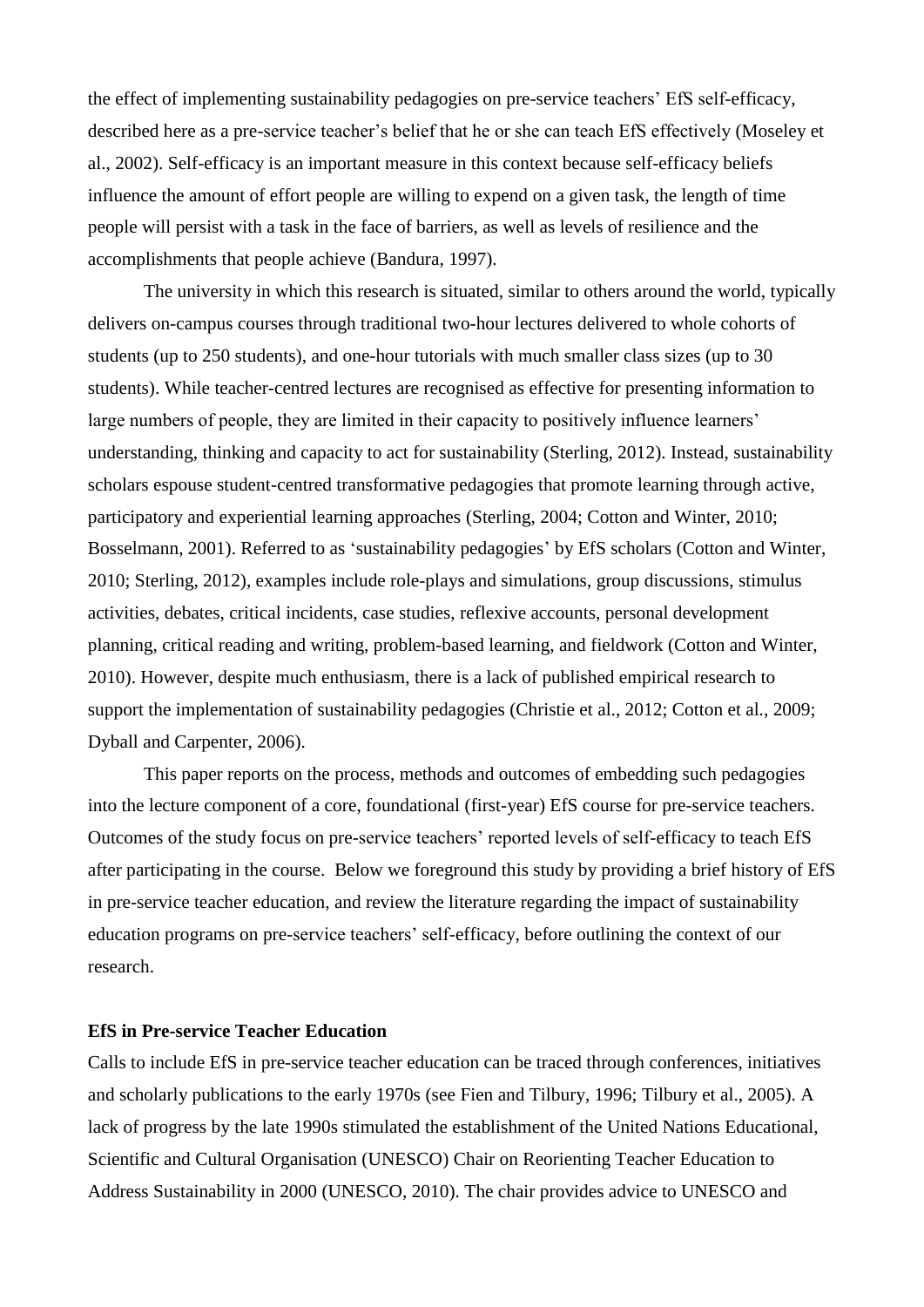the effect of implementing sustainability pedagogies on pre-service teachers' EfS self-efficacy, described here as a pre-service teacher's belief that he or she can teach EfS effectively [\(Moseley et](#page-14-3)  [al., 2002\)](#page-14-3). Self-efficacy is an important measure in this context because self-efficacy beliefs influence the amount of effort people are willing to expend on a given task, the length of time people will persist with a task in the face of barriers, as well as levels of resilience and the accomplishments that people achieve [\(Bandura, 1997\)](#page-13-1).

The university in which this research is situated, similar to others around the world, typically delivers on-campus courses through traditional two-hour lectures delivered to whole cohorts of students (up to 250 students), and one-hour tutorials with much smaller class sizes (up to 30 students). While teacher-centred lectures are recognised as effective for presenting information to large numbers of people, they are limited in their capacity to positively influence learners' understanding, thinking and capacity to act for sustainability [\(Sterling, 2012\)](#page-15-3). Instead, sustainability scholars espouse student-centred transformative pedagogies that promote learning through active, participatory and experiential learning approaches [\(Sterling, 2004;](#page-15-4) [Cotton and Winter, 2010;](#page-13-2) [Bosselmann, 2001\)](#page-13-3). Referred to as 'sustainability pedagogies' by EfS scholars (Cotton and Winter, 2010; Sterling, 2012), examples include role-plays and simulations, group discussions, stimulus activities, debates, critical incidents, case studies, reflexive accounts, personal development planning, critical reading and writing, problem-based learning, and fieldwork [\(Cotton and Winter,](#page-13-2)  [2010\)](#page-13-2). However, despite much enthusiasm, there is a lack of published empirical research to support the implementation of sustainability pedagogies [\(Christie et al., 2012;](#page-13-4) [Cotton et al., 2009;](#page-13-5) [Dyball and Carpenter, 2006\)](#page-13-6).

This paper reports on the process, methods and outcomes of embedding such pedagogies into the lecture component of a core, foundational (first-year) EfS course for pre-service teachers. Outcomes of the study focus on pre-service teachers' reported levels of self-efficacy to teach EfS after participating in the course. Below we foreground this study by providing a brief history of EfS in pre-service teacher education, and review the literature regarding the impact of sustainability education programs on pre-service teachers' self-efficacy, before outlining the context of our research.

## **EfS in Pre-service Teacher Education**

Calls to include EfS in pre-service teacher education can be traced through conferences, initiatives and scholarly publications to the early 1970s (see [Fien and Tilbury, 1996;](#page-14-4) [Tilbury et al., 2005\)](#page-15-5). A lack of progress by the late 1990s stimulated the establishment of the United Nations Educational, Scientific and Cultural Organisation (UNESCO) Chair on Reorienting Teacher Education to Address Sustainability in 2000 (UNESCO, 2010). The chair provides advice to UNESCO and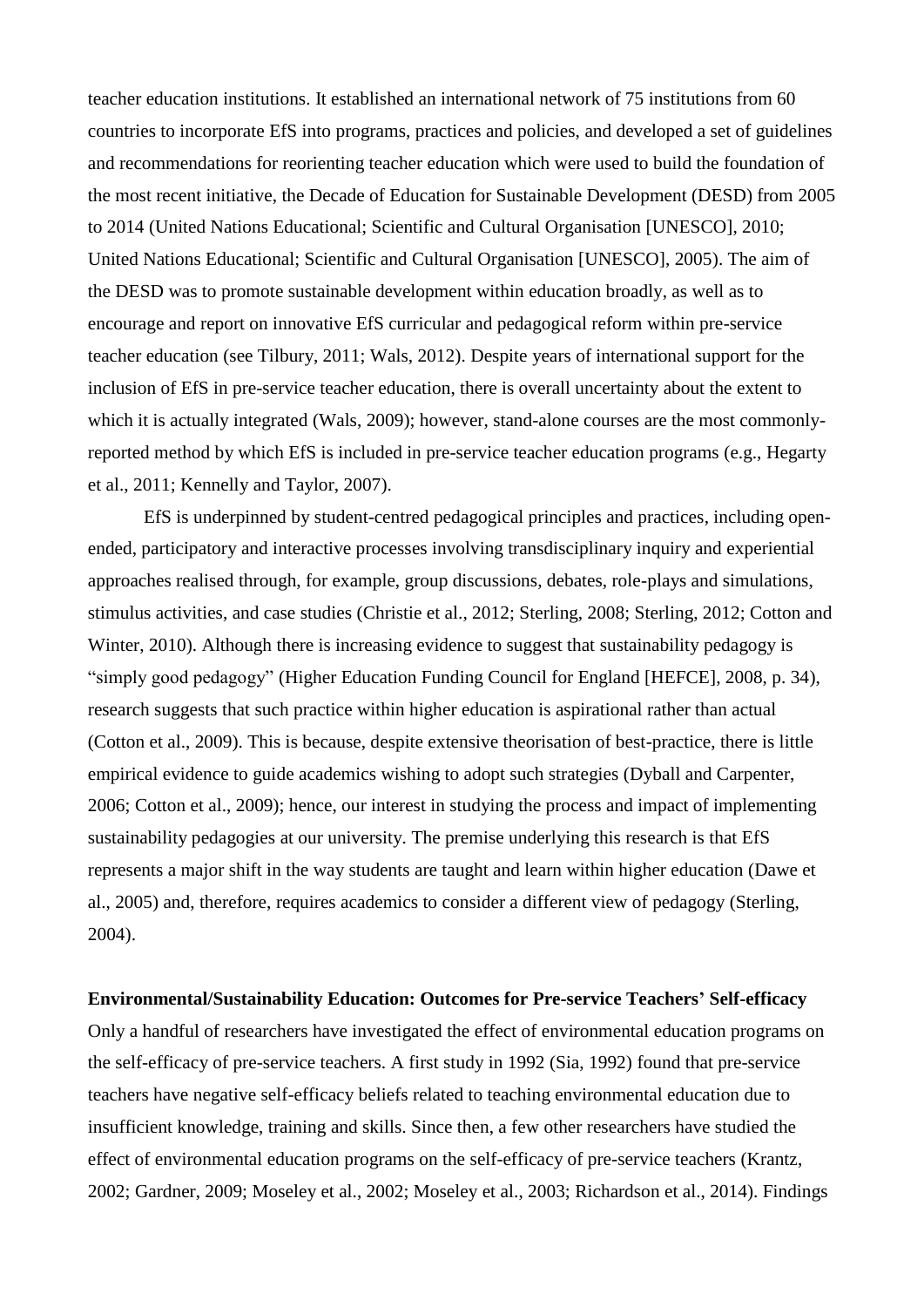teacher education institutions. It established an international network of 75 institutions from 60 countries to incorporate EfS into programs, practices and policies, and developed a set of guidelines and recommendations for reorienting teacher education which were used to build the foundation of the most recent initiative, the Decade of Education for Sustainable Development (DESD) from 2005 to 2014 [\(United Nations Educational; Scientific and Cultural Organisation \[UNESCO\], 2010;](#page-15-6) [United Nations Educational; Scientific and Cultural Organisation \[UNESCO\], 2005\)](#page-15-7). The aim of the DESD was to promote sustainable development within education broadly, as well as to encourage and report on innovative EfS curricular and pedagogical reform within pre-service teacher education (see [Tilbury, 2011;](#page-15-8) [Wals, 2012\)](#page-15-9). Despite years of international support for the inclusion of EfS in pre-service teacher education, there is overall uncertainty about the extent to which it is actually integrated [\(Wals, 2009\)](#page-15-10); however, stand-alone courses are the most commonlyreported method by which EfS is included in pre-service teacher education programs (e.g., [Hegarty](#page-14-5)  [et al., 2011;](#page-14-5) [Kennelly and Taylor, 2007\)](#page-14-6).

EfS is underpinned by student-centred pedagogical principles and practices, including openended, participatory and interactive processes involving transdisciplinary inquiry and experiential approaches realised through, for example, group discussions, debates, role-plays and simulations, stimulus activities, and case studies [\(Christie et al., 2012;](#page-13-4) [Sterling, 2008;](#page-15-11) [Sterling, 2012;](#page-15-3) [Cotton and](#page-13-2)  [Winter, 2010\)](#page-13-2). Although there is increasing evidence to suggest that sustainability pedagogy is "simply good pedagogy" [\(Higher Education Funding Council for England \[HEFCE\], 2008, p. 34\)](#page-14-7), research suggests that such practice within higher education is aspirational rather than actual [\(Cotton et al., 2009\)](#page-13-5). This is because, despite extensive theorisation of best-practice, there is little empirical evidence to guide academics wishing to adopt such strategies [\(Dyball and Carpenter,](#page-13-6)  [2006;](#page-13-6) [Cotton et al., 2009\)](#page-13-5); hence, our interest in studying the process and impact of implementing sustainability pedagogies at our university. The premise underlying this research is that EfS represents a major shift in the way students are taught and learn within higher education [\(Dawe et](#page-13-7)  [al., 2005\)](#page-13-7) and, therefore, requires academics to consider a different view of pedagogy [\(Sterling,](#page-15-4)  [2004\)](#page-15-4).

## **Environmental/Sustainability Education: Outcomes for Pre-service Teachers' Self-efficacy**

Only a handful of researchers have investigated the effect of environmental education programs on the self-efficacy of pre-service teachers. A first study in 1992 [\(Sia, 1992\)](#page-14-8) found that pre-service teachers have negative self-efficacy beliefs related to teaching environmental education due to insufficient knowledge, training and skills. Since then, a few other researchers have studied the effect of environmental education programs on the self-efficacy of pre-service teachers [\(Krantz,](#page-14-9)  [2002;](#page-14-9) [Gardner, 2009;](#page-14-10) [Moseley et al., 2002;](#page-14-3) [Moseley et al., 2003;](#page-14-11) [Richardson et al., 2014\)](#page-14-12). Findings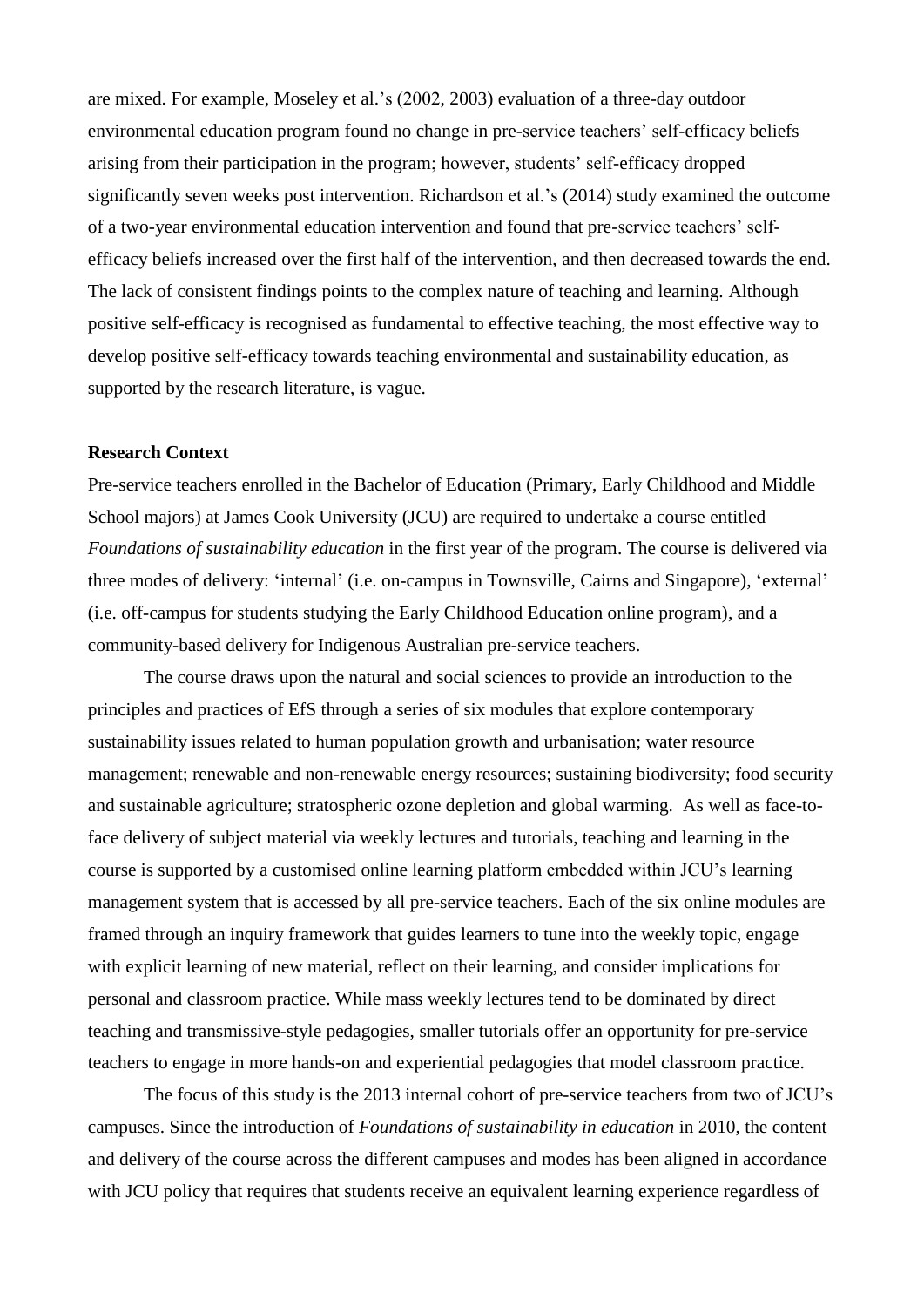are mixed. For example, Moseley et al.'s (2002, 2003) evaluation of a three-day outdoor environmental education program found no change in pre-service teachers' self-efficacy beliefs arising from their participation in the program; however, students' self-efficacy dropped significantly seven weeks post intervention. Richardson et al.'s [\(2014\)](#page-14-12) study examined the outcome of a two-year environmental education intervention and found that pre-service teachers' selfefficacy beliefs increased over the first half of the intervention, and then decreased towards the end. The lack of consistent findings points to the complex nature of teaching and learning. Although positive self-efficacy is recognised as fundamental to effective teaching, the most effective way to develop positive self-efficacy towards teaching environmental and sustainability education, as supported by the research literature, is vague.

# **Research Context**

Pre-service teachers enrolled in the Bachelor of Education (Primary, Early Childhood and Middle School majors) at James Cook University (JCU) are required to undertake a course entitled *Foundations of sustainability education* in the first year of the program. The course is delivered via three modes of delivery: 'internal' (i.e. on-campus in Townsville, Cairns and Singapore), 'external' (i.e. off-campus for students studying the Early Childhood Education online program), and a community-based delivery for Indigenous Australian pre-service teachers.

The course draws upon the natural and social sciences to provide an introduction to the principles and practices of EfS through a series of six modules that explore contemporary sustainability issues related to human population growth and urbanisation; water resource management; renewable and non-renewable energy resources; sustaining biodiversity; food security and sustainable agriculture; stratospheric ozone depletion and global warming. As well as face-toface delivery of subject material via weekly lectures and tutorials, teaching and learning in the course is supported by a customised online learning platform embedded within JCU's learning management system that is accessed by all pre-service teachers. Each of the six online modules are framed through an inquiry framework that guides learners to tune into the weekly topic, engage with explicit learning of new material, reflect on their learning, and consider implications for personal and classroom practice. While mass weekly lectures tend to be dominated by direct teaching and transmissive-style pedagogies, smaller tutorials offer an opportunity for pre-service teachers to engage in more hands-on and experiential pedagogies that model classroom practice.

The focus of this study is the 2013 internal cohort of pre-service teachers from two of JCU's campuses. Since the introduction of *Foundations of sustainability in education* in 2010, the content and delivery of the course across the different campuses and modes has been aligned in accordance with JCU policy that requires that students receive an equivalent learning experience regardless of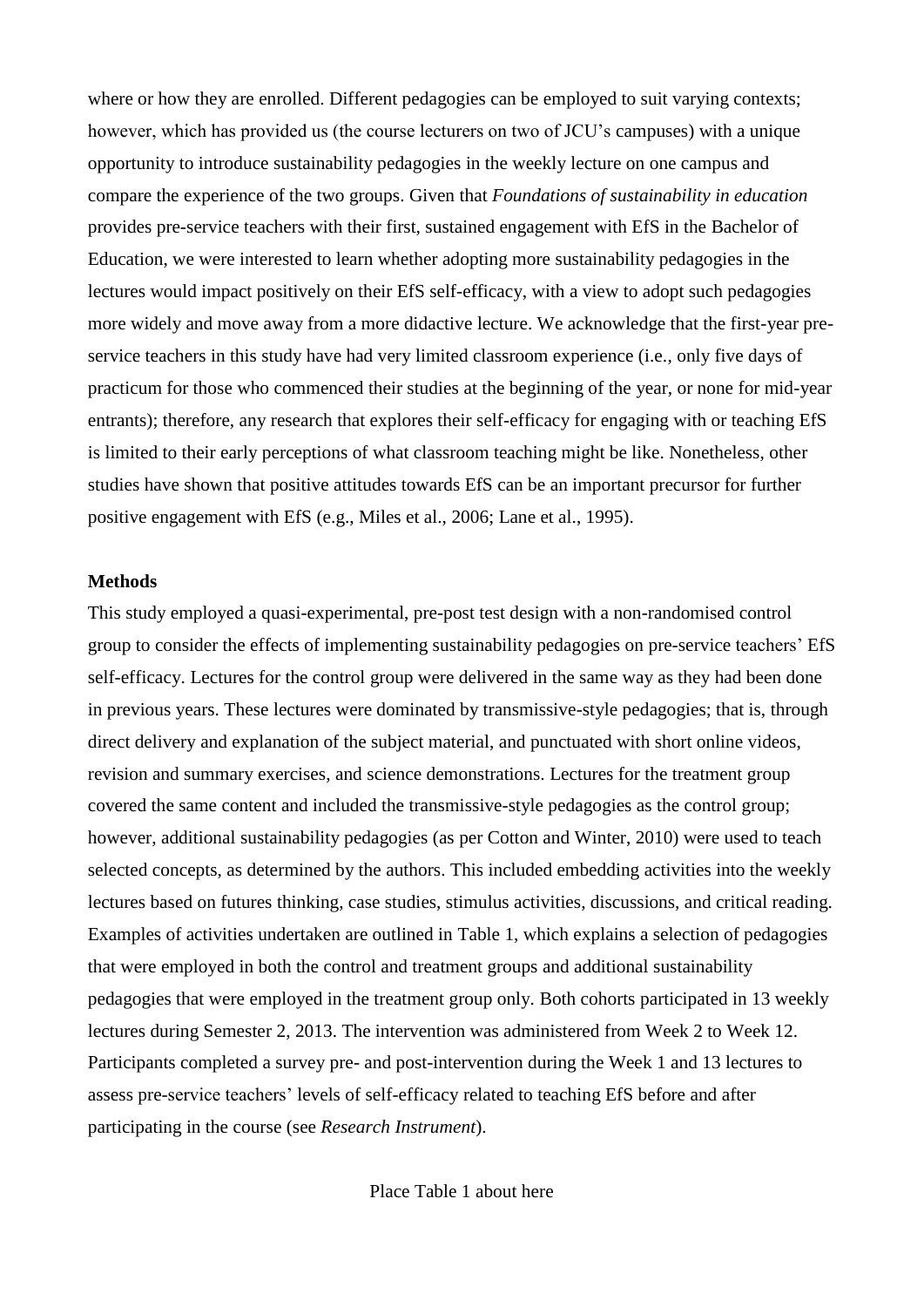where or how they are enrolled. Different pedagogies can be employed to suit varying contexts; however, which has provided us (the course lecturers on two of JCU's campuses) with a unique opportunity to introduce sustainability pedagogies in the weekly lecture on one campus and compare the experience of the two groups. Given that *Foundations of sustainability in education* provides pre-service teachers with their first, sustained engagement with EfS in the Bachelor of Education, we were interested to learn whether adopting more sustainability pedagogies in the lectures would impact positively on their EfS self-efficacy, with a view to adopt such pedagogies more widely and move away from a more didactive lecture. We acknowledge that the first-year preservice teachers in this study have had very limited classroom experience (i.e., only five days of practicum for those who commenced their studies at the beginning of the year, or none for mid-year entrants); therefore, any research that explores their self-efficacy for engaging with or teaching EfS is limited to their early perceptions of what classroom teaching might be like. Nonetheless, other studies have shown that positive attitudes towards EfS can be an important precursor for further positive engagement with EfS (e.g., [Miles et al., 2006;](#page-14-13) [Lane et al., 1995\)](#page-14-14).

#### **Methods**

This study employed a quasi-experimental, pre-post test design with a non-randomised control group to consider the effects of implementing sustainability pedagogies on pre-service teachers' EfS self-efficacy. Lectures for the control group were delivered in the same way as they had been done in previous years. These lectures were dominated by transmissive-style pedagogies; that is, through direct delivery and explanation of the subject material, and punctuated with short online videos, revision and summary exercises, and science demonstrations. Lectures for the treatment group covered the same content and included the transmissive-style pedagogies as the control group; however, additional sustainability pedagogies (as per Cotton and Winter, 2010) were used to teach selected concepts, as determined by the authors. This included embedding activities into the weekly lectures based on futures thinking, case studies, stimulus activities, discussions, and critical reading. Examples of activities undertaken are outlined in Table 1, which explains a selection of pedagogies that were employed in both the control and treatment groups and additional sustainability pedagogies that were employed in the treatment group only. Both cohorts participated in 13 weekly lectures during Semester 2, 2013. The intervention was administered from Week 2 to Week 12. Participants completed a survey pre- and post-intervention during the Week 1 and 13 lectures to assess pre-service teachers' levels of self-efficacy related to teaching EfS before and after participating in the course (see *Research Instrument*).

Place Table 1 about here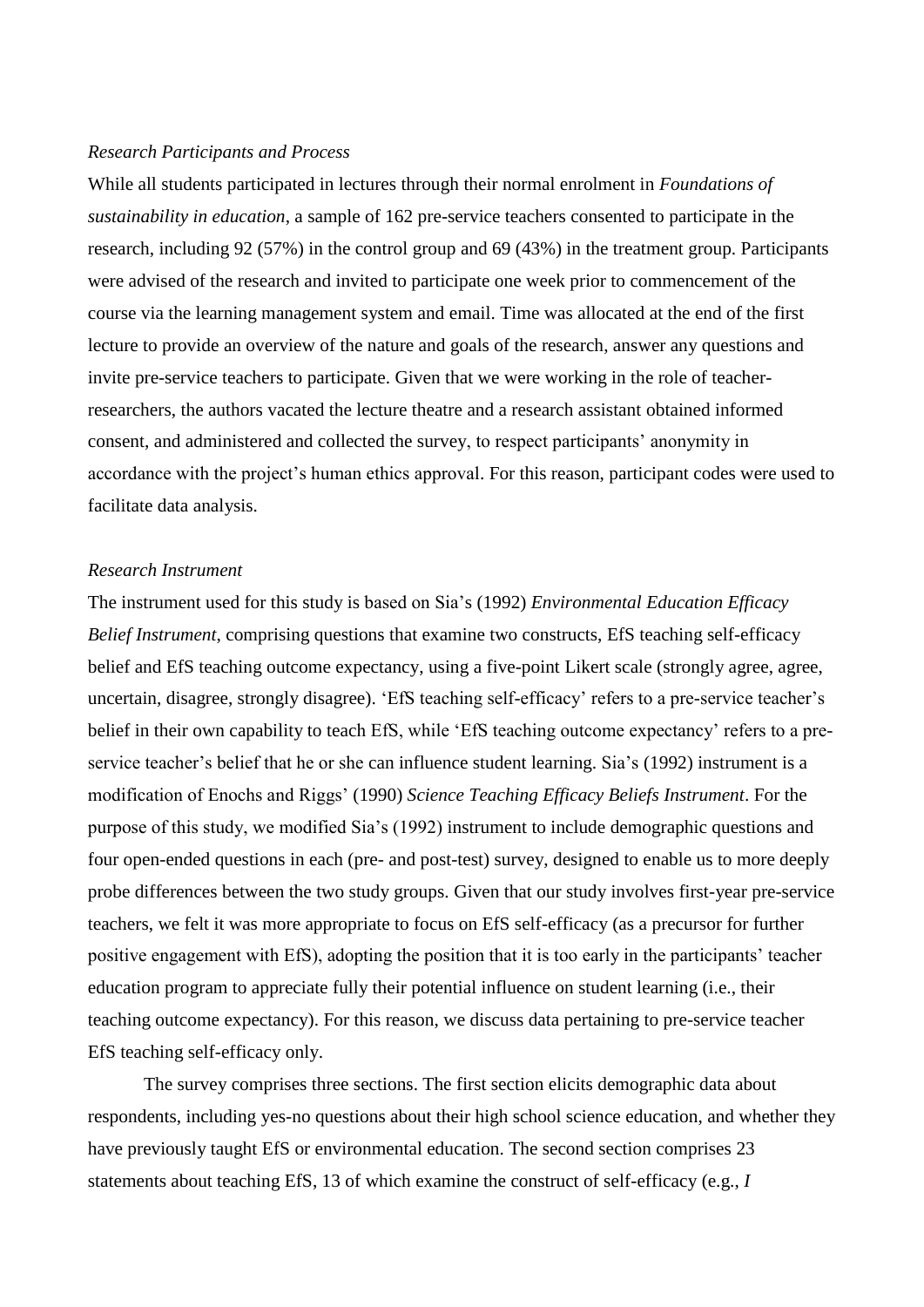#### *Research Participants and Process*

While all students participated in lectures through their normal enrolment in *Foundations of sustainability in education*, a sample of 162 pre-service teachers consented to participate in the research, including 92 (57%) in the control group and 69 (43%) in the treatment group. Participants were advised of the research and invited to participate one week prior to commencement of the course via the learning management system and email. Time was allocated at the end of the first lecture to provide an overview of the nature and goals of the research, answer any questions and invite pre-service teachers to participate. Given that we were working in the role of teacherresearchers, the authors vacated the lecture theatre and a research assistant obtained informed consent, and administered and collected the survey, to respect participants' anonymity in accordance with the project's human ethics approval. For this reason, participant codes were used to facilitate data analysis.

## *Research Instrument*

The instrument used for this study is based on Sia's (1992) *Environmental Education Efficacy Belief Instrument*, comprising questions that examine two constructs, EfS teaching self-efficacy belief and EfS teaching outcome expectancy, using a five-point Likert scale (strongly agree, agree, uncertain, disagree, strongly disagree). 'EfS teaching self-efficacy' refers to a pre-service teacher's belief in their own capability to teach EfS, while 'EfS teaching outcome expectancy' refers to a preservice teacher's belief that he or she can influence student learning. Sia's (1992) instrument is a modification of Enochs and Riggs' [\(1990\)](#page-13-8) *Science Teaching Efficacy Beliefs Instrument*. For the purpose of this study, we modified Sia's (1992) instrument to include demographic questions and four open-ended questions in each (pre- and post-test) survey, designed to enable us to more deeply probe differences between the two study groups. Given that our study involves first-year pre-service teachers, we felt it was more appropriate to focus on EfS self-efficacy (as a precursor for further positive engagement with EfS), adopting the position that it is too early in the participants' teacher education program to appreciate fully their potential influence on student learning (i.e., their teaching outcome expectancy). For this reason, we discuss data pertaining to pre-service teacher EfS teaching self-efficacy only.

The survey comprises three sections. The first section elicits demographic data about respondents, including yes-no questions about their high school science education, and whether they have previously taught EfS or environmental education. The second section comprises 23 statements about teaching EfS, 13 of which examine the construct of self-efficacy (e.g., *I*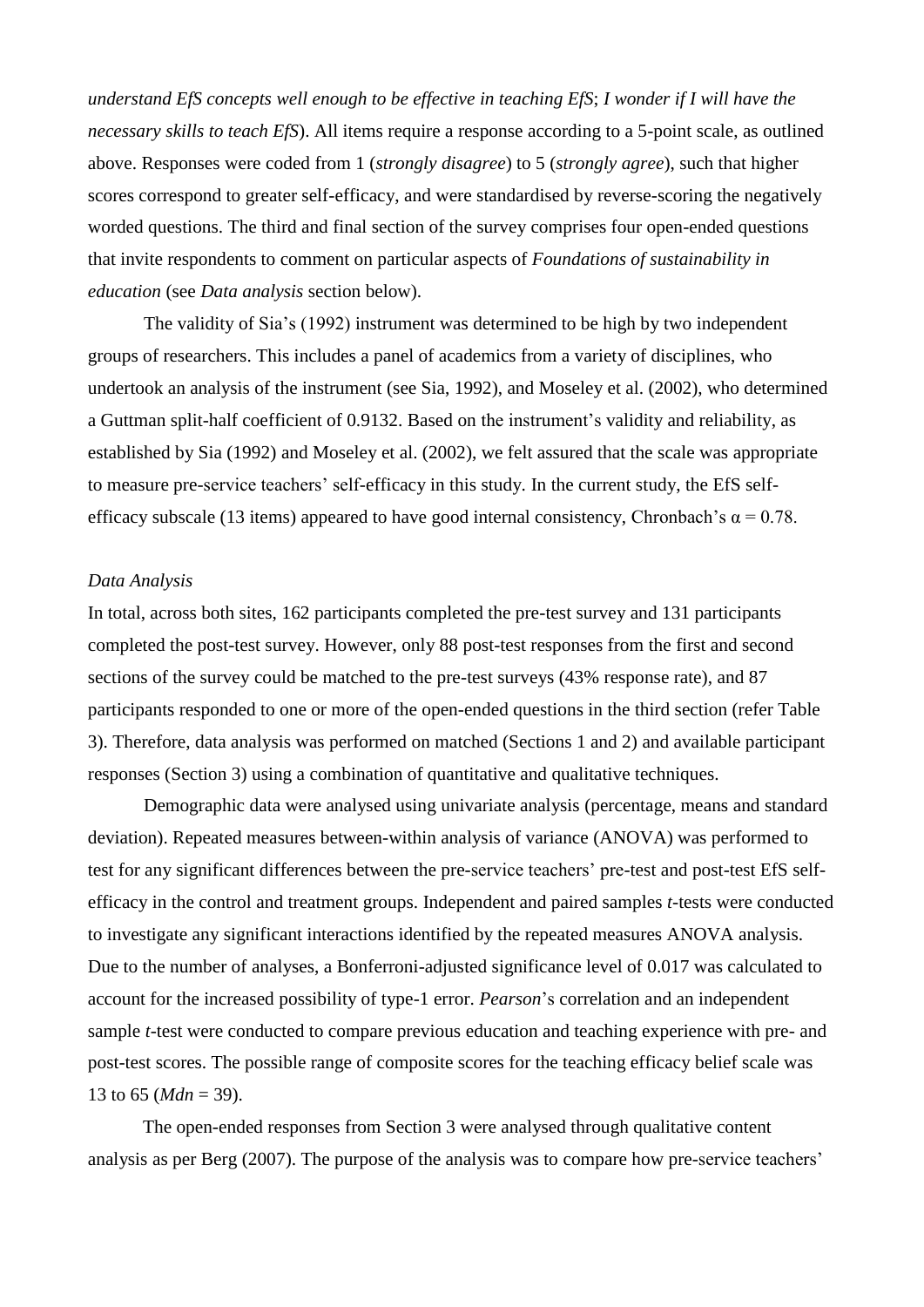*understand EfS concepts well enough to be effective in teaching EfS*; *I wonder if I will have the necessary skills to teach EfS*). All items require a response according to a 5-point scale, as outlined above. Responses were coded from 1 (*strongly disagree*) to 5 (*strongly agree*), such that higher scores correspond to greater self-efficacy, and were standardised by reverse-scoring the negatively worded questions. The third and final section of the survey comprises four open-ended questions that invite respondents to comment on particular aspects of *Foundations of sustainability in education* (see *Data analysis* section below).

The validity of Sia's (1992) instrument was determined to be high by two independent groups of researchers. This includes a panel of academics from a variety of disciplines, who undertook an analysis of the instrument [\(see Sia, 1992\)](#page-14-8), and Moseley et al. [\(2002\)](#page-14-3), who determined a Guttman split-half coefficient of 0.9132. Based on the instrument's validity and reliability, as established by Sia [\(1992\)](#page-14-8) and Moseley et al. [\(2002\)](#page-14-3), we felt assured that the scale was appropriate to measure pre-service teachers' self-efficacy in this study. In the current study, the EfS selfefficacy subscale (13 items) appeared to have good internal consistency, Chronbach's  $\alpha = 0.78$ .

## *Data Analysis*

In total, across both sites, 162 participants completed the pre-test survey and 131 participants completed the post-test survey. However, only 88 post-test responses from the first and second sections of the survey could be matched to the pre-test surveys (43% response rate), and 87 participants responded to one or more of the open-ended questions in the third section (refer Table 3). Therefore, data analysis was performed on matched (Sections 1 and 2) and available participant responses (Section 3) using a combination of quantitative and qualitative techniques.

Demographic data were analysed using univariate analysis (percentage, means and standard deviation). Repeated measures between-within analysis of variance (ANOVA) was performed to test for any significant differences between the pre-service teachers' pre-test and post-test EfS selfefficacy in the control and treatment groups. Independent and paired samples *t-*tests were conducted to investigate any significant interactions identified by the repeated measures ANOVA analysis. Due to the number of analyses, a Bonferroni-adjusted significance level of 0.017 was calculated to account for the increased possibility of type-1 error. *Pearson*'s correlation and an independent sample *t*-test were conducted to compare previous education and teaching experience with pre- and post-test scores. The possible range of composite scores for the teaching efficacy belief scale was 13 to 65 (*Mdn* = 39).

The open-ended responses from Section 3 were analysed through qualitative content analysis as per Berg [\(2007\)](#page-13-9). The purpose of the analysis was to compare how pre-service teachers'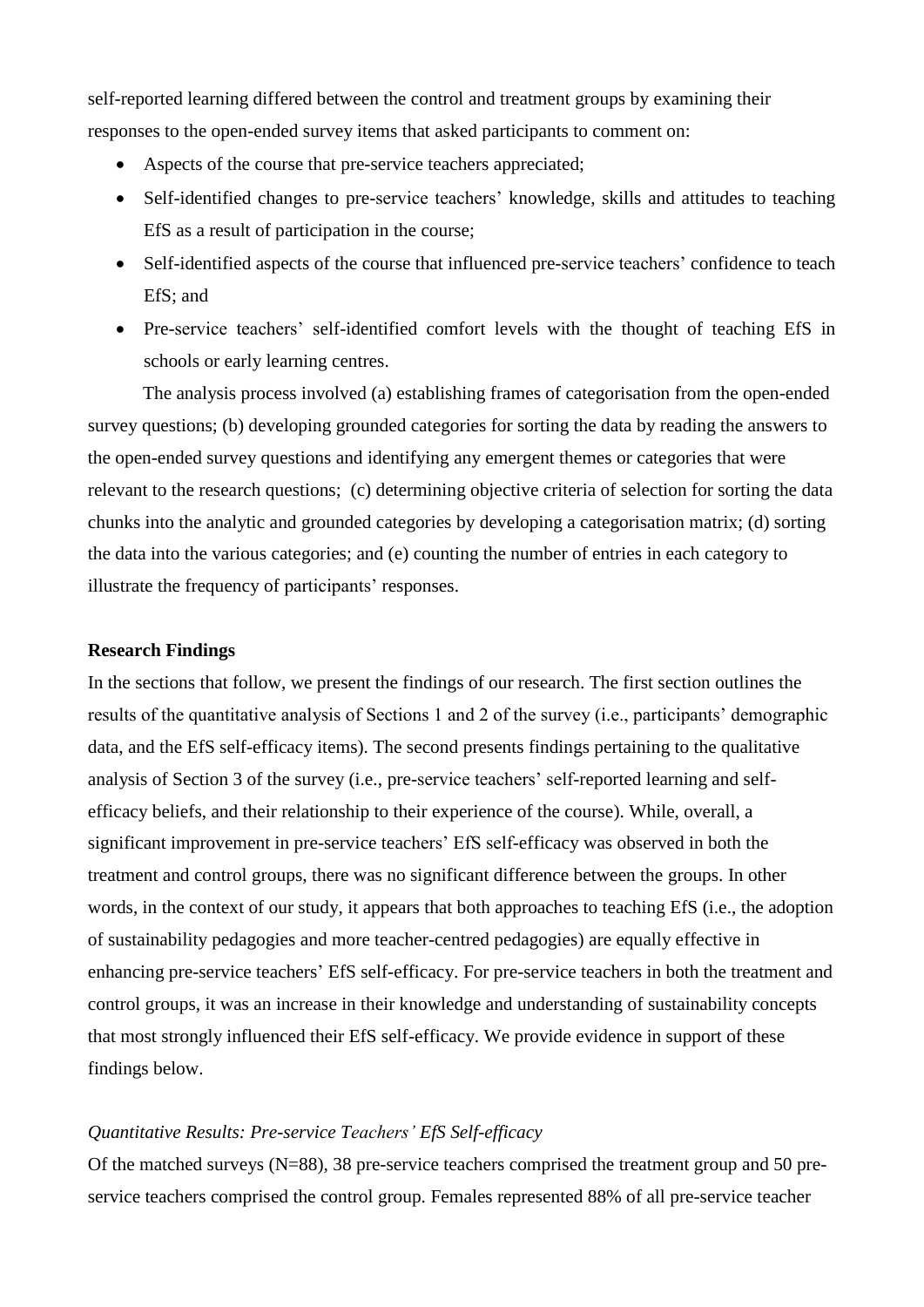self-reported learning differed between the control and treatment groups by examining their responses to the open-ended survey items that asked participants to comment on:

- Aspects of the course that pre-service teachers appreciated;
- Self-identified changes to pre-service teachers' knowledge, skills and attitudes to teaching EfS as a result of participation in the course;
- Self-identified aspects of the course that influenced pre-service teachers' confidence to teach EfS; and
- Pre-service teachers' self-identified comfort levels with the thought of teaching EfS in schools or early learning centres.

The analysis process involved (a) establishing frames of categorisation from the open-ended survey questions; (b) developing grounded categories for sorting the data by reading the answers to the open-ended survey questions and identifying any emergent themes or categories that were relevant to the research questions; (c) determining objective criteria of selection for sorting the data chunks into the analytic and grounded categories by developing a categorisation matrix; (d) sorting the data into the various categories; and (e) counting the number of entries in each category to illustrate the frequency of participants' responses.

#### **Research Findings**

In the sections that follow, we present the findings of our research. The first section outlines the results of the quantitative analysis of Sections 1 and 2 of the survey (i.e., participants' demographic data, and the EfS self-efficacy items). The second presents findings pertaining to the qualitative analysis of Section 3 of the survey (i.e., pre-service teachers' self-reported learning and selfefficacy beliefs, and their relationship to their experience of the course). While, overall, a significant improvement in pre-service teachers' EfS self-efficacy was observed in both the treatment and control groups, there was no significant difference between the groups. In other words, in the context of our study, it appears that both approaches to teaching EfS (i.e., the adoption of sustainability pedagogies and more teacher-centred pedagogies) are equally effective in enhancing pre-service teachers' EfS self-efficacy. For pre-service teachers in both the treatment and control groups, it was an increase in their knowledge and understanding of sustainability concepts that most strongly influenced their EfS self-efficacy. We provide evidence in support of these findings below.

## *Quantitative Results: Pre-service Teachers' EfS Self-efficacy*

Of the matched surveys (N=88), 38 pre-service teachers comprised the treatment group and 50 preservice teachers comprised the control group. Females represented 88% of all pre-service teacher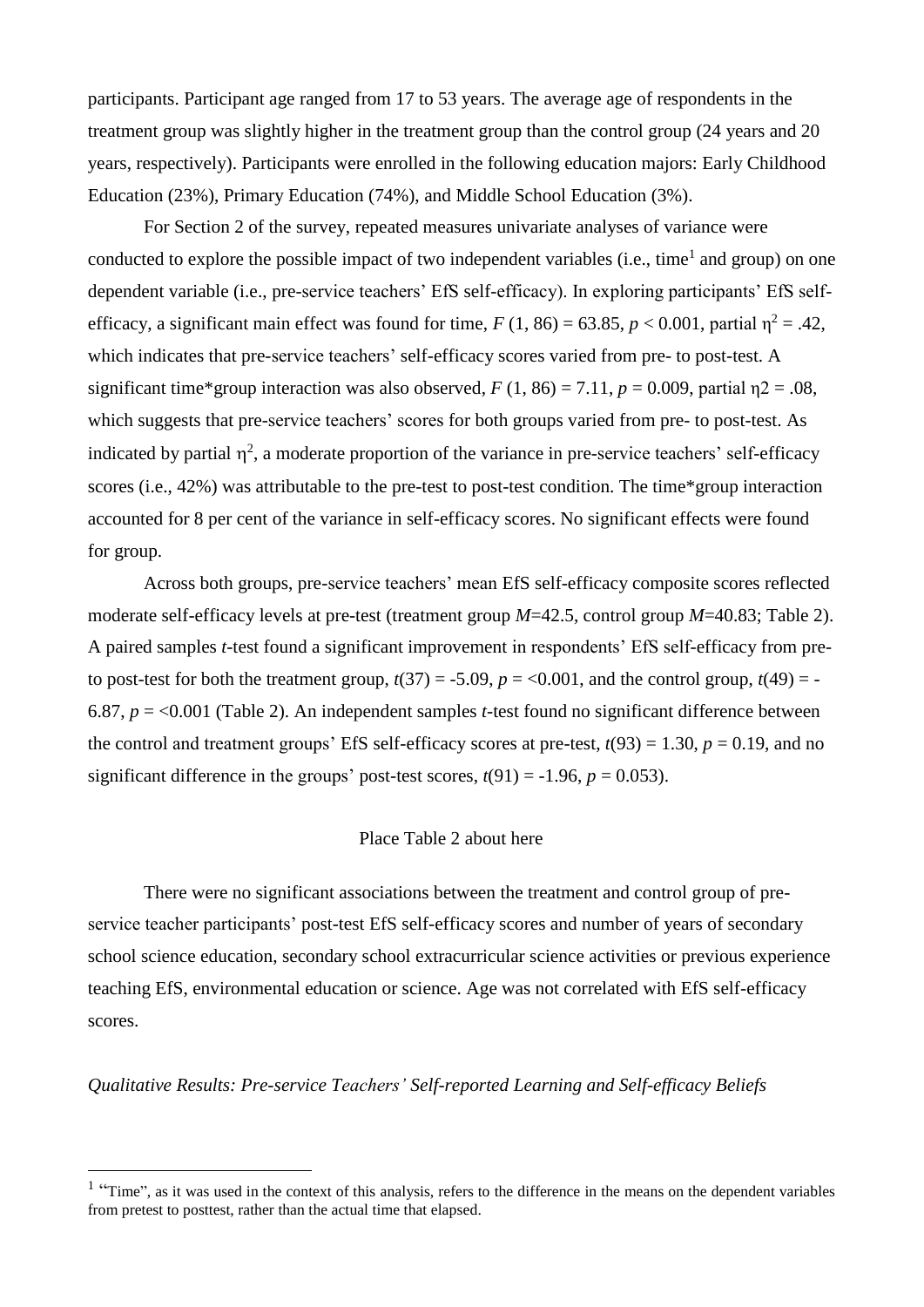participants. Participant age ranged from 17 to 53 years. The average age of respondents in the treatment group was slightly higher in the treatment group than the control group (24 years and 20 years, respectively). Participants were enrolled in the following education majors: Early Childhood Education (23%), Primary Education (74%), and Middle School Education (3%).

For Section 2 of the survey, repeated measures univariate analyses of variance were conducted to explore the possible impact of two independent variables (i.e., time<sup>1</sup> and group) on one dependent variable (i.e., pre-service teachers' EfS self-efficacy). In exploring participants' EfS selfefficacy, a significant main effect was found for time,  $F(1, 86) = 63.85$ ,  $p < 0.001$ , partial  $\eta^2 = .42$ , which indicates that pre-service teachers' self-efficacy scores varied from pre- to post-test. A significant time\*group interaction was also observed,  $F(1, 86) = 7.11$ ,  $p = 0.009$ , partial  $n2 = .08$ , which suggests that pre-service teachers' scores for both groups varied from pre- to post-test. As indicated by partial  $\eta^2$ , a moderate proportion of the variance in pre-service teachers' self-efficacy scores (i.e., 42%) was attributable to the pre-test to post-test condition. The time\*group interaction accounted for 8 per cent of the variance in self-efficacy scores. No significant effects were found for group.

Across both groups, pre-service teachers' mean EfS self-efficacy composite scores reflected moderate self-efficacy levels at pre-test (treatment group *M*=42.5, control group *M*=40.83; Table 2). A paired samples *t*-test found a significant improvement in respondents' EfS self-efficacy from preto post-test for both the treatment group,  $t(37) = -5.09$ ,  $p = <0.001$ , and the control group,  $t(49) = -$ 6.87, *p* = <0.001 (Table 2). An independent samples *t*-test found no significant difference between the control and treatment groups' EfS self-efficacy scores at pre-test,  $t(93) = 1.30$ ,  $p = 0.19$ , and no significant difference in the groups' post-test scores,  $t(91) = -1.96$ ,  $p = 0.053$ ).

## Place Table 2 about here

There were no significant associations between the treatment and control group of preservice teacher participants' post-test EfS self-efficacy scores and number of years of secondary school science education, secondary school extracurricular science activities or previous experience teaching EfS, environmental education or science. Age was not correlated with EfS self-efficacy scores.

*Qualitative Results: Pre-service Teachers' Self-reported Learning and Self-efficacy Beliefs*

1

<sup>&</sup>lt;sup>1</sup> "Time", as it was used in the context of this analysis, refers to the difference in the means on the dependent variables from pretest to posttest, rather than the actual time that elapsed.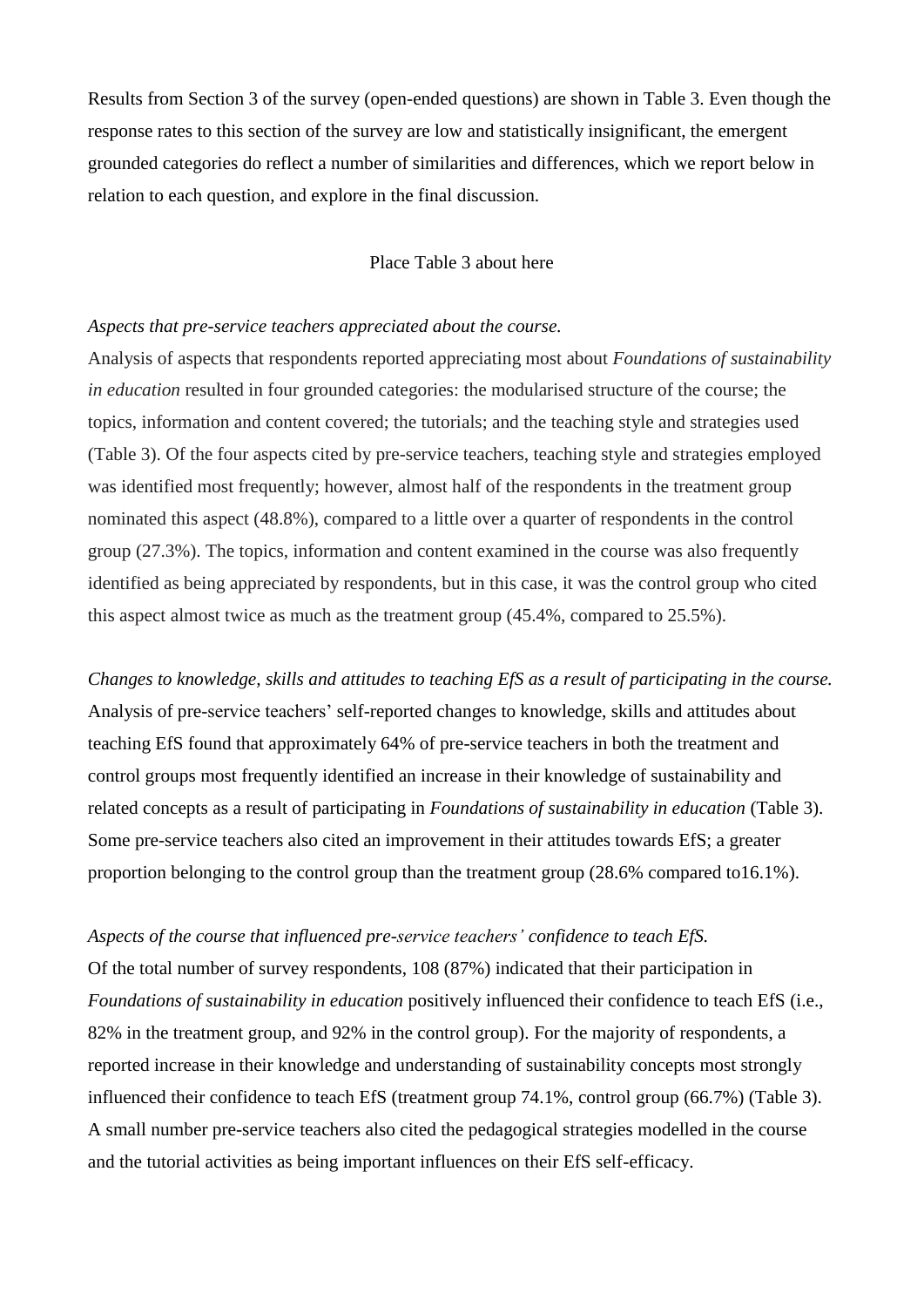Results from Section 3 of the survey (open-ended questions) are shown in Table 3. Even though the response rates to this section of the survey are low and statistically insignificant, the emergent grounded categories do reflect a number of similarities and differences, which we report below in relation to each question, and explore in the final discussion.

# Place Table 3 about here

#### *Aspects that pre-service teachers appreciated about the course.*

Analysis of aspects that respondents reported appreciating most about *Foundations of sustainability in education* resulted in four grounded categories: the modularised structure of the course; the topics, information and content covered; the tutorials; and the teaching style and strategies used (Table 3). Of the four aspects cited by pre-service teachers, teaching style and strategies employed was identified most frequently; however, almost half of the respondents in the treatment group nominated this aspect (48.8%), compared to a little over a quarter of respondents in the control group (27.3%). The topics, information and content examined in the course was also frequently identified as being appreciated by respondents, but in this case, it was the control group who cited this aspect almost twice as much as the treatment group (45.4%, compared to 25.5%).

*Changes to knowledge, skills and attitudes to teaching EfS as a result of participating in the course.*  Analysis of pre-service teachers' self-reported changes to knowledge, skills and attitudes about teaching EfS found that approximately 64% of pre-service teachers in both the treatment and control groups most frequently identified an increase in their knowledge of sustainability and related concepts as a result of participating in *Foundations of sustainability in education* (Table 3). Some pre-service teachers also cited an improvement in their attitudes towards EfS; a greater proportion belonging to the control group than the treatment group (28.6% compared to16.1%).

#### *Aspects of the course that influenced pre-service teachers' confidence to teach EfS.*

Of the total number of survey respondents, 108 (87%) indicated that their participation in *Foundations of sustainability in education* positively influenced their confidence to teach EfS (i.e., 82% in the treatment group, and 92% in the control group). For the majority of respondents, a reported increase in their knowledge and understanding of sustainability concepts most strongly influenced their confidence to teach EfS (treatment group 74.1%, control group (66.7%) (Table 3). A small number pre-service teachers also cited the pedagogical strategies modelled in the course and the tutorial activities as being important influences on their EfS self-efficacy.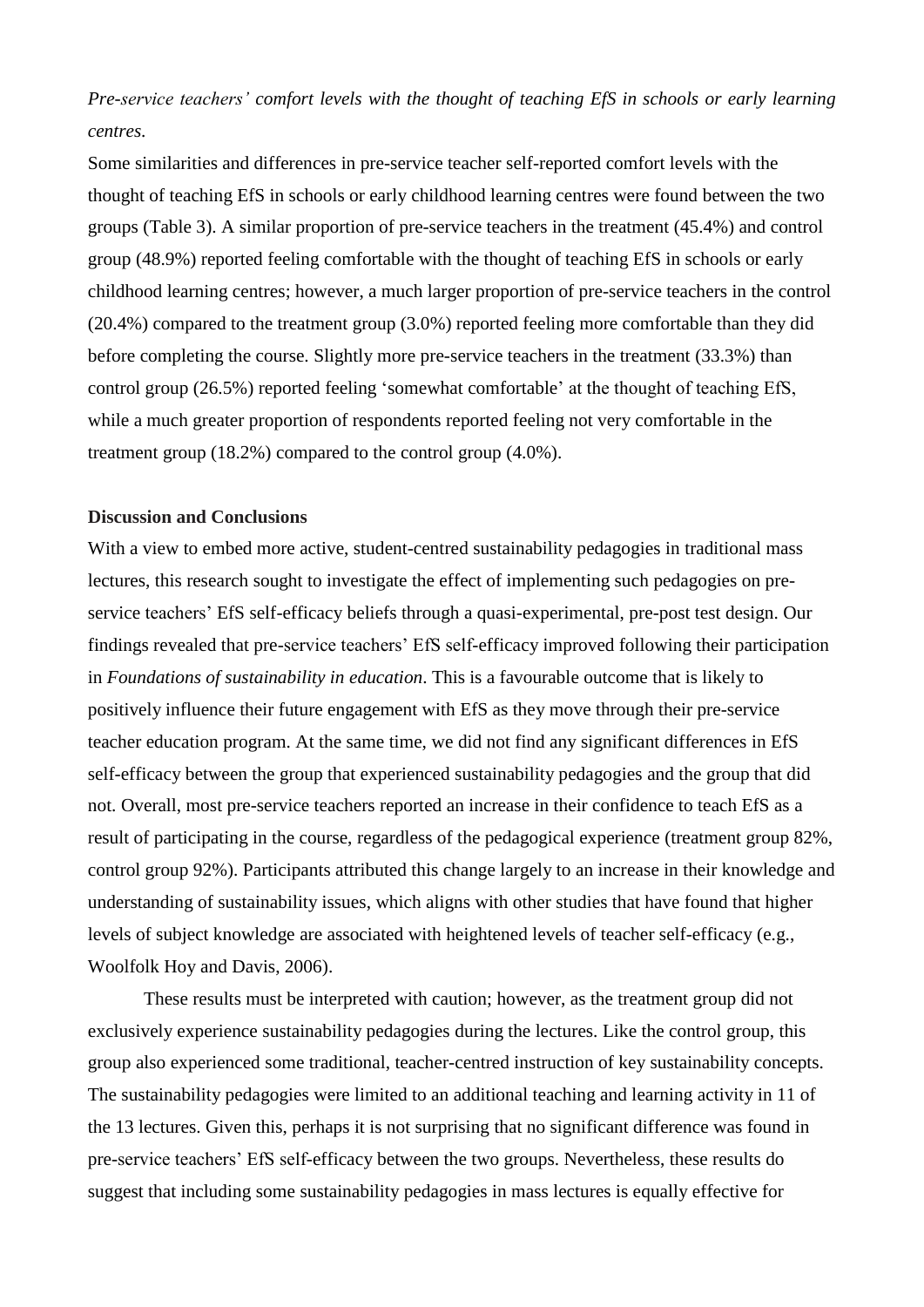*Pre-service teachers' comfort levels with the thought of teaching EfS in schools or early learning centres.* 

Some similarities and differences in pre-service teacher self-reported comfort levels with the thought of teaching EfS in schools or early childhood learning centres were found between the two groups (Table 3). A similar proportion of pre-service teachers in the treatment (45.4%) and control group (48.9%) reported feeling comfortable with the thought of teaching EfS in schools or early childhood learning centres; however, a much larger proportion of pre-service teachers in the control (20.4%) compared to the treatment group (3.0%) reported feeling more comfortable than they did before completing the course. Slightly more pre-service teachers in the treatment (33.3%) than control group (26.5%) reported feeling 'somewhat comfortable' at the thought of teaching EfS, while a much greater proportion of respondents reported feeling not very comfortable in the treatment group (18.2%) compared to the control group (4.0%).

# **Discussion and Conclusions**

With a view to embed more active, student-centred sustainability pedagogies in traditional mass lectures, this research sought to investigate the effect of implementing such pedagogies on preservice teachers' EfS self-efficacy beliefs through a quasi-experimental, pre-post test design. Our findings revealed that pre-service teachers' EfS self-efficacy improved following their participation in *Foundations of sustainability in education*. This is a favourable outcome that is likely to positively influence their future engagement with EfS as they move through their pre-service teacher education program. At the same time, we did not find any significant differences in EfS self-efficacy between the group that experienced sustainability pedagogies and the group that did not. Overall, most pre-service teachers reported an increase in their confidence to teach EfS as a result of participating in the course, regardless of the pedagogical experience (treatment group 82%, control group 92%). Participants attributed this change largely to an increase in their knowledge and understanding of sustainability issues, which aligns with other studies that have found that higher levels of subject knowledge are associated with heightened levels of teacher self-efficacy [\(e.g.,](#page-15-12)  [Woolfolk Hoy and Davis, 2006\)](#page-15-12).

These results must be interpreted with caution; however, as the treatment group did not exclusively experience sustainability pedagogies during the lectures. Like the control group, this group also experienced some traditional, teacher-centred instruction of key sustainability concepts. The sustainability pedagogies were limited to an additional teaching and learning activity in 11 of the 13 lectures. Given this, perhaps it is not surprising that no significant difference was found in pre-service teachers' EfS self-efficacy between the two groups. Nevertheless, these results do suggest that including some sustainability pedagogies in mass lectures is equally effective for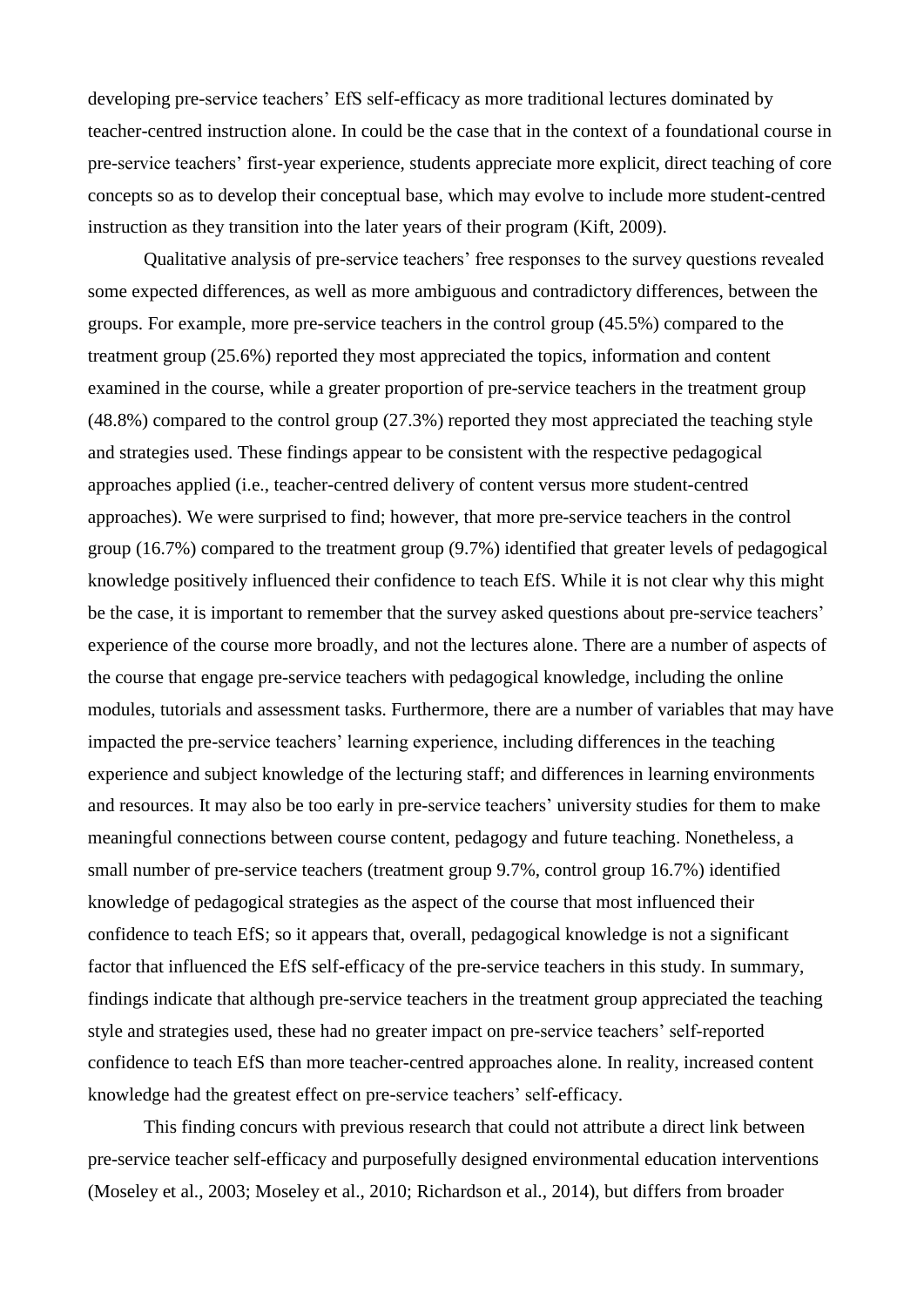developing pre-service teachers' EfS self-efficacy as more traditional lectures dominated by teacher-centred instruction alone. In could be the case that in the context of a foundational course in pre-service teachers' first-year experience, students appreciate more explicit, direct teaching of core concepts so as to develop their conceptual base, which may evolve to include more student-centred instruction as they transition into the later years of their program [\(Kift, 2009\)](#page-14-15).

Qualitative analysis of pre-service teachers' free responses to the survey questions revealed some expected differences, as well as more ambiguous and contradictory differences, between the groups. For example, more pre-service teachers in the control group (45.5%) compared to the treatment group (25.6%) reported they most appreciated the topics, information and content examined in the course, while a greater proportion of pre-service teachers in the treatment group (48.8%) compared to the control group (27.3%) reported they most appreciated the teaching style and strategies used. These findings appear to be consistent with the respective pedagogical approaches applied (i.e., teacher-centred delivery of content versus more student-centred approaches). We were surprised to find; however, that more pre-service teachers in the control group (16.7%) compared to the treatment group (9.7%) identified that greater levels of pedagogical knowledge positively influenced their confidence to teach EfS. While it is not clear why this might be the case, it is important to remember that the survey asked questions about pre-service teachers' experience of the course more broadly, and not the lectures alone. There are a number of aspects of the course that engage pre-service teachers with pedagogical knowledge, including the online modules, tutorials and assessment tasks. Furthermore, there are a number of variables that may have impacted the pre-service teachers' learning experience, including differences in the teaching experience and subject knowledge of the lecturing staff; and differences in learning environments and resources. It may also be too early in pre-service teachers' university studies for them to make meaningful connections between course content, pedagogy and future teaching. Nonetheless, a small number of pre-service teachers (treatment group 9.7%, control group 16.7%) identified knowledge of pedagogical strategies as the aspect of the course that most influenced their confidence to teach EfS; so it appears that, overall, pedagogical knowledge is not a significant factor that influenced the EfS self-efficacy of the pre-service teachers in this study. In summary, findings indicate that although pre-service teachers in the treatment group appreciated the teaching style and strategies used, these had no greater impact on pre-service teachers' self-reported confidence to teach EfS than more teacher-centred approaches alone. In reality, increased content knowledge had the greatest effect on pre-service teachers' self-efficacy.

This finding concurs with previous research that could not attribute a direct link between pre-service teacher self-efficacy and purposefully designed environmental education interventions [\(Moseley et al., 2003;](#page-14-11) [Moseley et al., 2010;](#page-14-16) [Richardson et al., 2014\)](#page-14-12), but differs from broader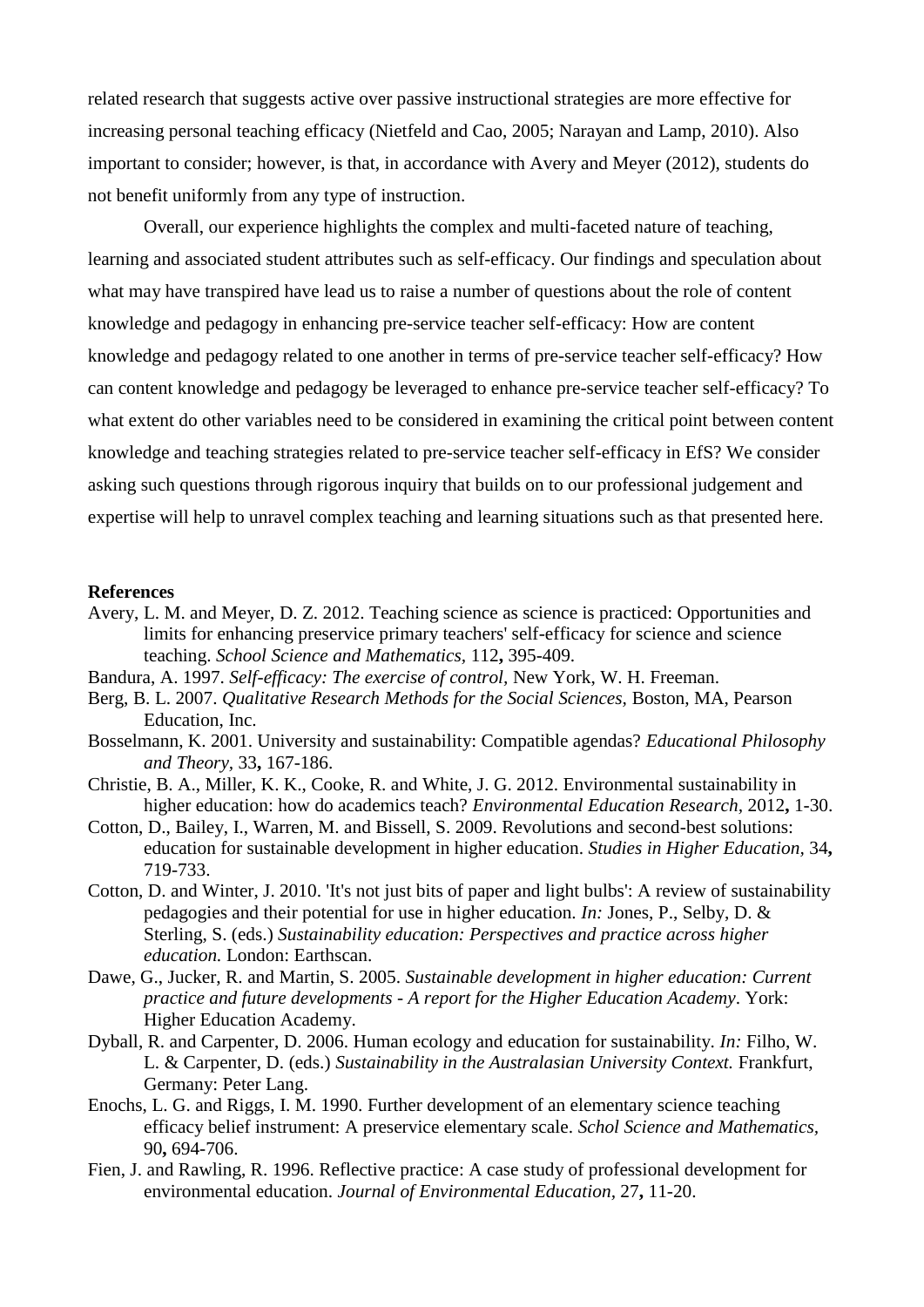related research that suggests active over passive instructional strategies are more effective for increasing personal teaching efficacy [\(Nietfeld and Cao, 2005;](#page-14-17) [Narayan and Lamp, 2010\)](#page-14-18). Also important to consider; however, is that, in accordance with Avery and Meyer [\(2012\)](#page-13-10), students do not benefit uniformly from any type of instruction.

Overall, our experience highlights the complex and multi-faceted nature of teaching, learning and associated student attributes such as self-efficacy. Our findings and speculation about what may have transpired have lead us to raise a number of questions about the role of content knowledge and pedagogy in enhancing pre-service teacher self-efficacy: How are content knowledge and pedagogy related to one another in terms of pre-service teacher self-efficacy? How can content knowledge and pedagogy be leveraged to enhance pre-service teacher self-efficacy? To what extent do other variables need to be considered in examining the critical point between content knowledge and teaching strategies related to pre-service teacher self-efficacy in EfS? We consider asking such questions through rigorous inquiry that builds on to our professional judgement and expertise will help to unravel complex teaching and learning situations such as that presented here.

#### **References**

- <span id="page-13-10"></span>Avery, L. M. and Meyer, D. Z. 2012. Teaching science as science is practiced: Opportunities and limits for enhancing preservice primary teachers' self-efficacy for science and science teaching. *School Science and Mathematics,* 112**,** 395-409.
- <span id="page-13-1"></span>Bandura, A. 1997. *Self-efficacy: The exercise of control,* New York, W. H. Freeman.
- <span id="page-13-9"></span>Berg, B. L. 2007. *Qualitative Research Methods for the Social Sciences,* Boston, MA, Pearson Education, Inc.
- <span id="page-13-3"></span>Bosselmann, K. 2001. University and sustainability: Compatible agendas? *Educational Philosophy and Theory,* 33**,** 167-186.
- <span id="page-13-4"></span>Christie, B. A., Miller, K. K., Cooke, R. and White, J. G. 2012. Environmental sustainability in higher education: how do academics teach? *Environmental Education Research,* 2012**,** 1-30.
- <span id="page-13-5"></span>Cotton, D., Bailey, I., Warren, M. and Bissell, S. 2009. Revolutions and second-best solutions: education for sustainable development in higher education. *Studies in Higher Education,* 34**,** 719-733.
- <span id="page-13-2"></span>Cotton, D. and Winter, J. 2010. 'It's not just bits of paper and light bulbs': A review of sustainability pedagogies and their potential for use in higher education. *In:* Jones, P., Selby, D. & Sterling, S. (eds.) *Sustainability education: Perspectives and practice across higher education.* London: Earthscan.
- <span id="page-13-7"></span>Dawe, G., Jucker, R. and Martin, S. 2005. *Sustainable development in higher education: Current practice and future developments - A report for the Higher Education Academy*. York: Higher Education Academy.
- <span id="page-13-6"></span>Dyball, R. and Carpenter, D. 2006. Human ecology and education for sustainability. *In:* Filho, W. L. & Carpenter, D. (eds.) *Sustainability in the Australasian University Context.* Frankfurt, Germany: Peter Lang.
- <span id="page-13-8"></span>Enochs, L. G. and Riggs, I. M. 1990. Further development of an elementary science teaching efficacy belief instrument: A preservice elementary scale. *Schol Science and Mathematics,* 90**,** 694-706.
- <span id="page-13-0"></span>Fien, J. and Rawling, R. 1996. Reflective practice: A case study of professional development for environmental education. *Journal of Environmental Education,* 27**,** 11-20.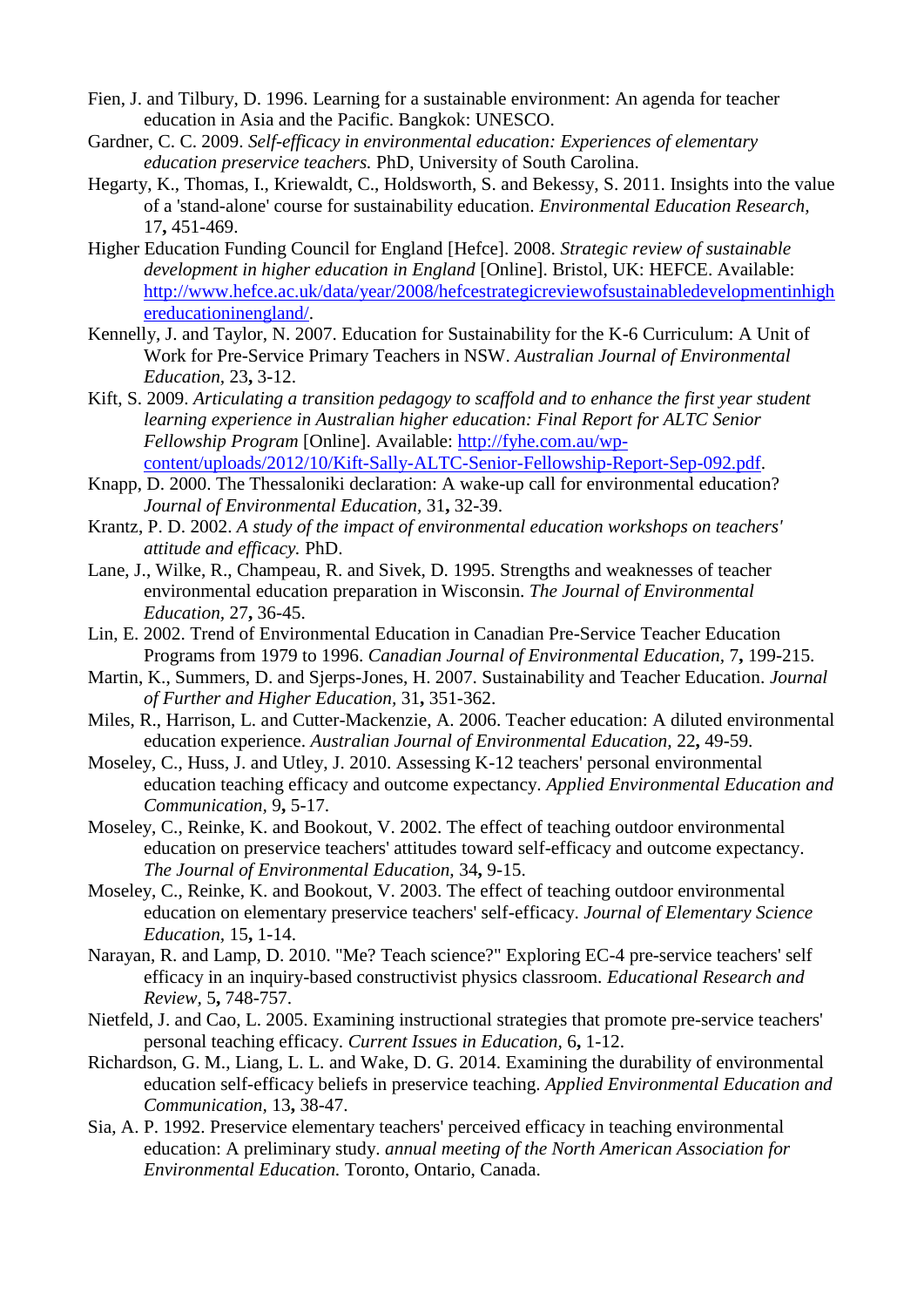- <span id="page-14-4"></span>Fien, J. and Tilbury, D. 1996. Learning for a sustainable environment: An agenda for teacher education in Asia and the Pacific. Bangkok: UNESCO.
- <span id="page-14-10"></span>Gardner, C. C. 2009. *Self-efficacy in environmental education: Experiences of elementary education preservice teachers.* PhD, University of South Carolina.
- <span id="page-14-5"></span>Hegarty, K., Thomas, I., Kriewaldt, C., Holdsworth, S. and Bekessy, S. 2011. Insights into the value of a 'stand-alone' course for sustainability education. *Environmental Education Research,* 17**,** 451-469.
- <span id="page-14-7"></span>Higher Education Funding Council for England [Hefce]. 2008. *Strategic review of sustainable development in higher education in England* [Online]. Bristol, UK: HEFCE. Available: [http://www.hefce.ac.uk/data/year/2008/hefcestrategicreviewofsustainabledevelopmentinhigh](http://www.hefce.ac.uk/data/year/2008/hefcestrategicreviewofsustainabledevelopmentinhighereducationinengland/) [ereducationinengland/.](http://www.hefce.ac.uk/data/year/2008/hefcestrategicreviewofsustainabledevelopmentinhighereducationinengland/)
- <span id="page-14-6"></span>Kennelly, J. and Taylor, N. 2007. Education for Sustainability for the K-6 Curriculum: A Unit of Work for Pre-Service Primary Teachers in NSW. *Australian Journal of Environmental Education,* 23**,** 3-12.
- <span id="page-14-15"></span>Kift, S. 2009. *Articulating a transition pedagogy to scaffold and to enhance the first year student learning experience in Australian higher education: Final Report for ALTC Senior Fellowship Program* [Online]. Available: [http://fyhe.com.au/wp](http://fyhe.com.au/wp-content/uploads/2012/10/Kift-Sally-ALTC-Senior-Fellowship-Report-Sep-092.pdf)[content/uploads/2012/10/Kift-Sally-ALTC-Senior-Fellowship-Report-Sep-092.pdf.](http://fyhe.com.au/wp-content/uploads/2012/10/Kift-Sally-ALTC-Senior-Fellowship-Report-Sep-092.pdf)
- <span id="page-14-1"></span>Knapp, D. 2000. The Thessaloniki declaration: A wake-up call for environmental education? *Journal of Environmental Education,* 31**,** 32-39.
- <span id="page-14-9"></span>Krantz, P. D. 2002. *A study of the impact of environmental education workshops on teachers' attitude and efficacy.* PhD.
- <span id="page-14-14"></span>Lane, J., Wilke, R., Champeau, R. and Sivek, D. 1995. Strengths and weaknesses of teacher environmental education preparation in Wisconsin. *The Journal of Environmental Education,* 27**,** 36-45.
- <span id="page-14-2"></span>Lin, E. 2002. Trend of Environmental Education in Canadian Pre-Service Teacher Education Programs from 1979 to 1996. *Canadian Journal of Environmental Education,* 7**,** 199-215.
- <span id="page-14-0"></span>Martin, K., Summers, D. and Sjerps-Jones, H. 2007. Sustainability and Teacher Education. *Journal of Further and Higher Education,* 31**,** 351-362.
- <span id="page-14-13"></span>Miles, R., Harrison, L. and Cutter-Mackenzie, A. 2006. Teacher education: A diluted environmental education experience. *Australian Journal of Environmental Education,* 22**,** 49-59.
- <span id="page-14-16"></span>Moseley, C., Huss, J. and Utley, J. 2010. Assessing K-12 teachers' personal environmental education teaching efficacy and outcome expectancy. *Applied Environmental Education and Communication,* 9**,** 5-17.
- <span id="page-14-3"></span>Moseley, C., Reinke, K. and Bookout, V. 2002. The effect of teaching outdoor environmental education on preservice teachers' attitudes toward self-efficacy and outcome expectancy. *The Journal of Environmental Education,* 34**,** 9-15.
- <span id="page-14-11"></span>Moseley, C., Reinke, K. and Bookout, V. 2003. The effect of teaching outdoor environmental education on elementary preservice teachers' self-efficacy. *Journal of Elementary Science Education,* 15**,** 1-14.
- <span id="page-14-18"></span>Narayan, R. and Lamp, D. 2010. "Me? Teach science?" Exploring EC-4 pre-service teachers' self efficacy in an inquiry-based constructivist physics classroom. *Educational Research and Review,* 5**,** 748-757.
- <span id="page-14-17"></span>Nietfeld, J. and Cao, L. 2005. Examining instructional strategies that promote pre-service teachers' personal teaching efficacy. *Current Issues in Education,* 6**,** 1-12.
- <span id="page-14-12"></span>Richardson, G. M., Liang, L. L. and Wake, D. G. 2014. Examining the durability of environmental education self-efficacy beliefs in preservice teaching. *Applied Environmental Education and Communication,* 13**,** 38-47.
- <span id="page-14-8"></span>Sia, A. P. 1992. Preservice elementary teachers' perceived efficacy in teaching environmental education: A preliminary study. *annual meeting of the North American Association for Environmental Education.* Toronto, Ontario, Canada.